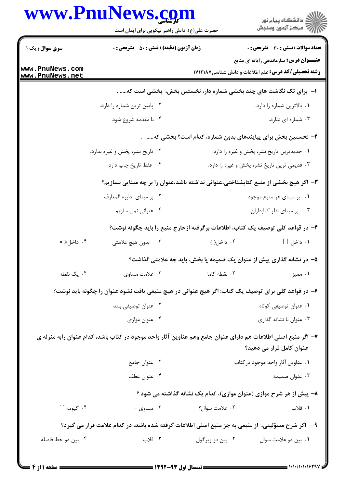|                                    | www.PnuNews.com                                                                                               |                  | ڪ دانشڪاه پيام نور<br>//> مرڪز آزمون وسنڊش                                                                   |
|------------------------------------|---------------------------------------------------------------------------------------------------------------|------------------|--------------------------------------------------------------------------------------------------------------|
|                                    | حضرت علی(ع): دانش راهبر نیکویی برای ایمان است                                                                 |                  |                                                                                                              |
| سری سوال: یک ۱                     | <b>زمان آزمون (دقیقه) : تستی : 50 ٪ تشریحی : 0</b>                                                            |                  | <b>تعداد سوالات : تستی : 30 - تشریحی : 0</b>                                                                 |
| www.PnuNews.com<br>www.PnuNews.net |                                                                                                               |                  | <b>عنــــوان درس:</b> سازماندهی رایانه ای منابع<br><b>رشته تحصیلی/کد درس:</b> علم اطلاعات و دانش شناسی۷۱۲۱۸۷ |
|                                    | ۱– برای تک نگاشت های چند بخشی شماره دار، نخستین بخش، بخشی است که .                                            |                  |                                                                                                              |
|                                    | ۰۲ پایین ترین شماره را دارد.                                                                                  |                  | ۰۱ بالاترین شماره را دارد.                                                                                   |
|                                    | ۰۴ با مقدمه شروع شود                                                                                          |                  | ۰۳ شماره ای ندارد.                                                                                           |
|                                    |                                                                                                               |                  | ۲- نخستین بخش برای پیایندهای بدون شماره، کدام است؟ بخشی که                                                   |
|                                    | ۲. تاریخ نشر، پخش و غیره ندارد.                                                                               |                  | ۰۱ جدیدترین تاریخ نشر، پخش و غیره را دارد.                                                                   |
|                                    | ۰۴ فقط تاريخ چاپ دارد.                                                                                        |                  | ۰۳ قدیمی ترین تاریخ نشر، پخش و غیره را دارد.                                                                 |
|                                    | ۳- اگر هیچ بخشی از منبع کتابشناختی،عنوانی نداشته باشد،عنوان را بر چه مبنایی بسازیم؟                           |                  |                                                                                                              |
|                                    | ٠٢ بر مبناى دايره المعارف                                                                                     |                  | ۰۱ بر مبنای هر منبع موجود                                                                                    |
|                                    | ۰۴ عنوانی نمی سازیم                                                                                           |                  | ۰۳ بر مبنای نظر کتابداران                                                                                    |
|                                    | ۴– در قواعد کلی توصیف یک کتاب، اطلاعات برگرفته ازخارج منبع را باید چگونه نوشت؟                                |                  |                                                                                                              |
| ۰۴ داخل« »                         | ۰۳ بدون هيچ علامتي                                                                                            | ۰۲ داخل()        | ١. داخل [ ]                                                                                                  |
|                                    |                                                                                                               |                  | ۵– در نشانه گذاری پیش از عنوان یک ضمیمه یا بخش، باید چه علامتی گذاشت؟                                        |
| ۰۴ یک نقطه                         | ۰۳ علامت مساوى                                                                                                | ۰۲ نقطه کاما     | ۰۱ مميز                                                                                                      |
|                                    | ۶– در قواعد کلی برای توصیف یک کتاب: اگر هیچ عنوانی در هیچ منبعی یافت نشود عنوان را چگونه باید نوشت؟           |                  |                                                                                                              |
|                                    | ۰۲ عنوان توصيفي بلند                                                                                          |                  | ۰۱ عنوان توصیفی کوتاه                                                                                        |
|                                    | ۰۴ عنوان موازي                                                                                                |                  | ۰۳ عنوان با نشانه گذاری                                                                                      |
|                                    | ۷– اگر منبع اصلی اطلاعات هم دارای عنوان جامع وهم عناوین آثار واحد موجود در کتاب باشد، کدام عنوان رابه منزله ی |                  |                                                                                                              |
|                                    |                                                                                                               |                  | عنوان کامل قرار می دهید؟                                                                                     |
|                                    | ۰۲ عنوان جامع                                                                                                 |                  | ٠١ عناوين آثار واحد موجود دركتاب                                                                             |
|                                    | ۰۴ عنوان عطف                                                                                                  |                  | ۰۳ عنوان ضميمه                                                                                               |
|                                    |                                                                                                               |                  | ۸– پیش از هر شرح موازی (عنوان موازی)، کدام یک نشانه گذاشته می شود ؟                                          |
| ۰۴ گیومه " "                       | ۰۳ مساوی $\cdot$                                                                                              | ۰۲ علامت سوال؟   | ۰۱ قلاب                                                                                                      |
|                                    | ۹-۔ اگر شرح مسؤلیتی، از منبعی به جز منبع اصلی اطلاعات گرفته شده باشد، در کدام علامت قرار می گیرد؟             |                  |                                                                                                              |
| ۰۴ بین دو خط فاصله                 | ۰۳ قلاب                                                                                                       | ۰۲ بين دو ويرگول | ٠١ بين دو علامت سوال                                                                                         |
|                                    |                                                                                                               |                  |                                                                                                              |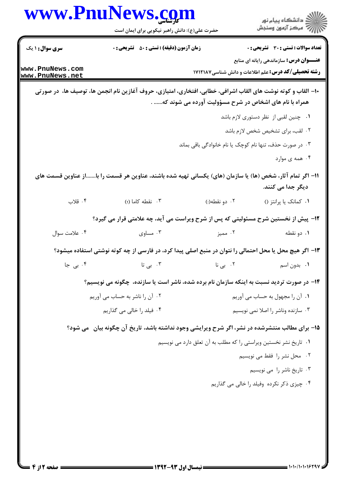| <b>سری سوال : ۱ یک</b><br><b>زمان آزمون (دقیقه) : تستی : 50 ٪ تشریحی : 0</b><br><b>تعداد سوالات : تستی : 30 ٪ تشریحی : 0</b><br><b>عنـــوان درس:</b> سازماندهی رایانه ای منابع<br>www.PnuNews.com<br><b>رشته تحصیلی/کد درس:</b> علم اطلاعات و دانش شناسی۷۱۲۱۸۷<br>www.PnuNews.net<br>+ا— القاب و کوته نوشت های القاب اشرافی، خطابی، افتخاری، امتیازی، حروف آغازین نام انجمن ها، توصیف ها، در صورتی<br>همراه با نام های اشخاص در شرح مسؤولیت آورده می شوند که .<br>۰۱ چنین لقبی از نظر دستوری لازم باشد<br>۰۲ لقب، برای تشخیص شخص لازم باشد<br>۰۳ در صورت حذف، تنها نام کوچک یا نام خانوادگی باقی بماند<br>۰۴ همه ی موارد |
|--------------------------------------------------------------------------------------------------------------------------------------------------------------------------------------------------------------------------------------------------------------------------------------------------------------------------------------------------------------------------------------------------------------------------------------------------------------------------------------------------------------------------------------------------------------------------------------------------------------------------|
|                                                                                                                                                                                                                                                                                                                                                                                                                                                                                                                                                                                                                          |
|                                                                                                                                                                                                                                                                                                                                                                                                                                                                                                                                                                                                                          |
|                                                                                                                                                                                                                                                                                                                                                                                                                                                                                                                                                                                                                          |
|                                                                                                                                                                                                                                                                                                                                                                                                                                                                                                                                                                                                                          |
|                                                                                                                                                                                                                                                                                                                                                                                                                                                                                                                                                                                                                          |
|                                                                                                                                                                                                                                                                                                                                                                                                                                                                                                                                                                                                                          |
|                                                                                                                                                                                                                                                                                                                                                                                                                                                                                                                                                                                                                          |
| 11– اگر تمام آثار، شخص (ها) یا سازمان (های) یکسانی تهیه شده باشند، عناوین هر قسمت را با…….از عناوین قسمت های<br>دیگر جدا می کنند.                                                                                                                                                                                                                                                                                                                                                                                                                                                                                        |
| ۰۴ قلاب<br>۰۳ نقطه کاما (؛)<br>٠١ كمانك يا پرانتز ()<br>۰۲ دو نقطه(:)                                                                                                                                                                                                                                                                                                                                                                                                                                                                                                                                                    |
| ۱۲- پیش از نخستین شرح مسئولیتی که پس از شرح ویراست می آید، چه علامتی قرار می گیرد؟                                                                                                                                                                                                                                                                                                                                                                                                                                                                                                                                       |
| ۰۳ مساوی<br>۰۲ مميز<br>۰۴ علامت سوال<br>۰۱ دو نقطه                                                                                                                                                                                                                                                                                                                                                                                                                                                                                                                                                                       |
| ۱۳– اگر هیچ محل یا محل احتمالی را نتوان در منبع اصلی پیدا کرد، در فارسی از چه کوته نوشتی استفاده میشود؟                                                                                                                                                                                                                                                                                                                                                                                                                                                                                                                  |
| ۰۳ ب <i>ی</i> تا<br>۰۴ بی جا<br>۲. <sub>بی نا</sub><br>٠١. بدون اسم                                                                                                                                                                                                                                                                                                                                                                                                                                                                                                                                                      |
| ۱۴- در صورت تردید نسبت به اینکه سازمان نام برده شده، ناشر است یا سازنده، چگونه می نویسیم؟                                                                                                                                                                                                                                                                                                                                                                                                                                                                                                                                |
| ۰۲ آن را ناشر به حساب می آوریم<br>۰۱ آن را مجهول به حساب می آوریم                                                                                                                                                                                                                                                                                                                                                                                                                                                                                                                                                        |
| ۰۳ سازنده وناشر را اصلا نمی نویسیم<br>۰۴ فیلد را خالی می گذاریم                                                                                                                                                                                                                                                                                                                                                                                                                                                                                                                                                          |
| ۱۵- برای مطالب منتشرشده در نشر، اگر شرح ویرایشی وجود نداشته باشد، تاریخ آن چگونه بیان ً می شود؟                                                                                                                                                                                                                                                                                                                                                                                                                                                                                                                          |
| ۰۱ تاریخ نشر نخستین ویراستی را که مطلب به آن تعلق دارد می نویسیم                                                                                                                                                                                                                                                                                                                                                                                                                                                                                                                                                         |
| ۰۲ محل نشر را فقط می نویسیم                                                                                                                                                                                                                                                                                                                                                                                                                                                                                                                                                                                              |
| ۰۳ تاریخ ناشر را می نویسیم                                                                                                                                                                                                                                                                                                                                                                                                                                                                                                                                                                                               |
| ۰۴ چیزی ذکر نکرده وفیلد را خالی می گذاریم                                                                                                                                                                                                                                                                                                                                                                                                                                                                                                                                                                                |
|                                                                                                                                                                                                                                                                                                                                                                                                                                                                                                                                                                                                                          |
|                                                                                                                                                                                                                                                                                                                                                                                                                                                                                                                                                                                                                          |
|                                                                                                                                                                                                                                                                                                                                                                                                                                                                                                                                                                                                                          |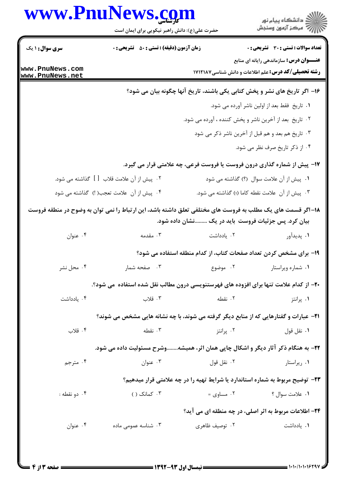|                                    | www.PnuNews.com<br>حضرت علی(ع): دانش راهبر نیکویی برای ایمان است                                           |                                                                               | ِ<br>∭ دانشڪاه پيام نور<br>∭ مرکز آزمون وسنڊش                                                                |
|------------------------------------|------------------------------------------------------------------------------------------------------------|-------------------------------------------------------------------------------|--------------------------------------------------------------------------------------------------------------|
| <b>سری سوال : ۱ یک</b>             | <b>زمان آزمون (دقیقه) : تستی : 50 ٪ تشریحی : 0</b>                                                         |                                                                               | <b>تعداد سوالات : تستی : 30 ٪ تشریحی : 0</b>                                                                 |
| www.PnuNews.com<br>www.PnuNews.net |                                                                                                            |                                                                               | <b>عنـــوان درس:</b> سازماندهی رایانه ای منابع<br><b>رشته تحصیلی/کد درس:</b> علم اطلاعات و دانش شناسی1۷۱۲۱۸۷ |
|                                    |                                                                                                            | ۱۶– اگر تاریخ های نشر و پخش کتابی یکی باشند، تاریخ آنها چگونه بیان می شود؟    |                                                                                                              |
|                                    |                                                                                                            |                                                                               | ٠١ تاريخ فقط بعد از اولين ناشر آورده مي شود.                                                                 |
|                                    |                                                                                                            | ۰۲ تاریخ بعد از آخرین ناشر و پخش کننده ، آورده می شود.                        |                                                                                                              |
|                                    |                                                                                                            | ۰۳ تاریخ هم بعد و هم قبل از آخرین ناشر ذکر می شود                             |                                                                                                              |
|                                    |                                                                                                            |                                                                               | ۰۴ از ذکر تاریخ صرف نظر می شود.                                                                              |
|                                    |                                                                                                            | ۱۷- پیش از شماره گذاری درون فروست یا فروست فرعی، چه علامتی قرار می گیرد.      |                                                                                                              |
|                                    | ۲ .    پیش از آن علامت قلاب    [  ]    گذاشته می شود.                                                      |                                                                               | ۰۱ پیش از آن علامت سوال (؟) گذاشته می شود                                                                    |
|                                    | ۰۴ پیش از آن علامت تعجب( !) گذاشته می شود                                                                  | ۰۳ پیش از آن  علامت نقطه کاما (؛) گذاشته می شود.                              |                                                                                                              |
|                                    | ۱۸–اگر قسمت های یک مطلب به فروست های مختلفی تعلق داشته باشد، این ارتباط را نمی توان به وضوح در منطقه فروست | بیان کرد. پس جزئیات فروست باید در یک نشان داده شود.                           |                                                                                                              |
| ۰۴ عنوان                           | ۰۳ مقدمه                                                                                                   | ۰۲ یادداشت                                                                    | ۰۱ پدیدآور                                                                                                   |
|                                    |                                                                                                            | ۱۹- برای مشخص کردن تعداد صفحات کتاب، از کدام منطقه استفاده می شود؟            |                                                                                                              |
| ۰۴ محل نشر                         | ۰۳ صفحه شمار                                                                                               | ۰۱ شماره ویراستار مسلم ۲۰۰ موضوع                                              |                                                                                                              |
|                                    | ۲۰- از کدام علامت تنها برای افزوده های فهرستنویسی درون مطالب نقل شده استفاده  می شود؟.                     |                                                                               |                                                                                                              |
| ۰۴ یادداشت                         | ۰۳ قلاب                                                                                                    | ۰۲ نقطه                                                                       | ۰۱ پرانتز                                                                                                    |
|                                    | <b>۲۱</b> - عبارات و گفتارهایی که از منابع دیگر گرفته می شوند، با چه نشانه هایی مشخص می شوند؟              |                                                                               |                                                                                                              |
| ۰۴ قلاب                            | ۰۳ نقطه                                                                                                    | ۰۲ پرانتز                                                                     | ۰۱ نقل قول                                                                                                   |
|                                    | ۲۲- به هنگام ذکر آثار دیگر و اشکال چاپی همان اثر، همیشهوشرح مسئولیت داده می شود.                           |                                                                               |                                                                                                              |
| ۰۴ مترجم                           | ۰۳ عنوان                                                                                                   | ۰۲ نقل قول                                                                    | ۰۱ ریراستار                                                                                                  |
|                                    |                                                                                                            | ۲۳- توضیح مربوط به شماره استاندارد یا شرایط تهیه را در چه علامتی قرار میدهیم؟ |                                                                                                              |
| ۰۴ دو نقطه :                       | ۰۳ کمانک ( )                                                                                               | ۰۲ مساوی $\cdot$                                                              | ۰۱ علامت سوال ؟                                                                                              |
|                                    |                                                                                                            | ۲۴- اطلاعات مربوط به اثر اصلی، در چه منطقه ای می اید؟                         |                                                                                                              |
| ۰۴ عنوان                           | ۰۳ شناسه عمومی ماده                                                                                        | ۰۲ توصیف ظاهری                                                                | ۰۱ یادداشت                                                                                                   |